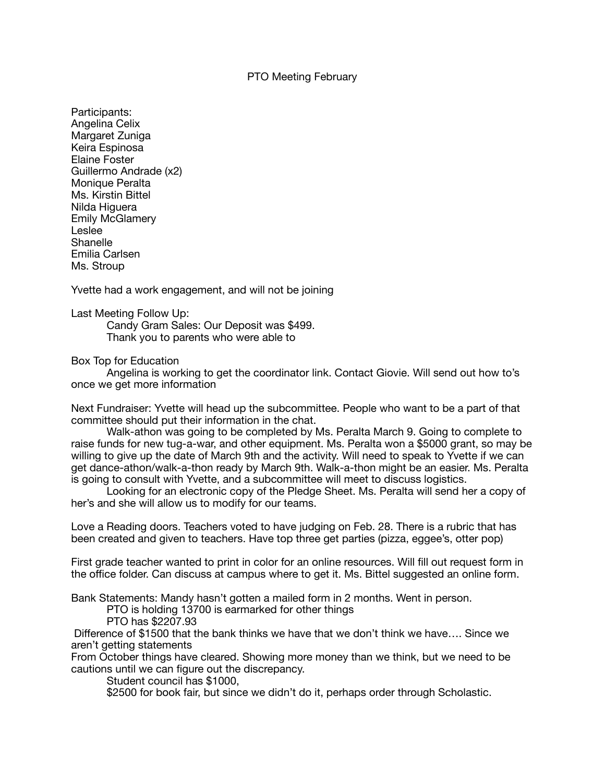## PTO Meeting February

Participants: Angelina Celix Margaret Zuniga Keira Espinosa Elaine Foster Guillermo Andrade (x2) Monique Peralta Ms. Kirstin Bittel Nilda Higuera Emily McGlamery Leslee Shanelle Emilia Carlsen Ms. Stroup

Yvette had a work engagement, and will not be joining

Last Meeting Follow Up:

Candy Gram Sales: Our Deposit was \$499. Thank you to parents who were able to

Box Top for Education

Angelina is working to get the coordinator link. Contact Giovie. Will send out how to's once we get more information

Next Fundraiser: Yvette will head up the subcommittee. People who want to be a part of that committee should put their information in the chat.

Walk-athon was going to be completed by Ms. Peralta March 9. Going to complete to raise funds for new tug-a-war, and other equipment. Ms. Peralta won a \$5000 grant, so may be willing to give up the date of March 9th and the activity. Will need to speak to Yvette if we can get dance-athon/walk-a-thon ready by March 9th. Walk-a-thon might be an easier. Ms. Peralta is going to consult with Yvette, and a subcommittee will meet to discuss logistics. 

Looking for an electronic copy of the Pledge Sheet. Ms. Peralta will send her a copy of her's and she will allow us to modify for our teams.

Love a Reading doors. Teachers voted to have judging on Feb. 28. There is a rubric that has been created and given to teachers. Have top three get parties (pizza, eggee's, otter pop)

First grade teacher wanted to print in color for an online resources. Will fill out request form in the office folder. Can discuss at campus where to get it. Ms. Bittel suggested an online form.

Bank Statements: Mandy hasn't gotten a mailed form in 2 months. Went in person.

PTO is holding 13700 is earmarked for other things

PTO has \$2207.93

 Difference of \$1500 that the bank thinks we have that we don't think we have…. Since we aren't getting statements

From October things have cleared. Showing more money than we think, but we need to be cautions until we can figure out the discrepancy.

Student council has \$1000,

\$2500 for book fair, but since we didn't do it, perhaps order through Scholastic.